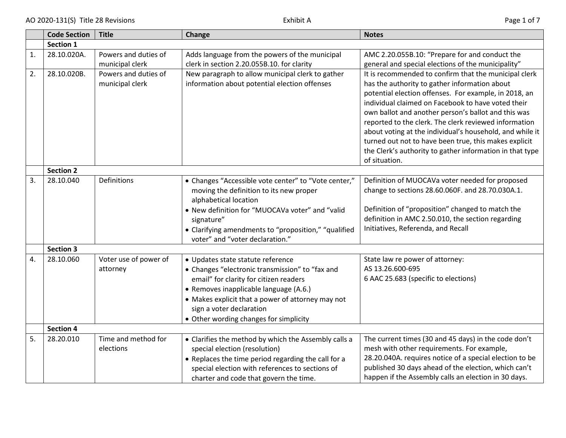|    | <b>Code Section</b> | <b>Title</b>                            | Change                                                                                                                                                                                                                                                                                              | <b>Notes</b>                                                                                                                                                                                                                                                                                                                                                                                                                                                                                                                            |  |
|----|---------------------|-----------------------------------------|-----------------------------------------------------------------------------------------------------------------------------------------------------------------------------------------------------------------------------------------------------------------------------------------------------|-----------------------------------------------------------------------------------------------------------------------------------------------------------------------------------------------------------------------------------------------------------------------------------------------------------------------------------------------------------------------------------------------------------------------------------------------------------------------------------------------------------------------------------------|--|
|    | <b>Section 1</b>    |                                         |                                                                                                                                                                                                                                                                                                     |                                                                                                                                                                                                                                                                                                                                                                                                                                                                                                                                         |  |
| 1. | 28.10.020A.         | Powers and duties of<br>municipal clerk | Adds language from the powers of the municipal<br>clerk in section 2.20.055B.10. for clarity                                                                                                                                                                                                        | AMC 2.20.055B.10: "Prepare for and conduct the<br>general and special elections of the municipality"                                                                                                                                                                                                                                                                                                                                                                                                                                    |  |
| 2. | 28.10.020B.         | Powers and duties of<br>municipal clerk | New paragraph to allow municipal clerk to gather<br>information about potential election offenses                                                                                                                                                                                                   | It is recommended to confirm that the municipal clerk<br>has the authority to gather information about<br>potential election offenses. For example, in 2018, an<br>individual claimed on Facebook to have voted their<br>own ballot and another person's ballot and this was<br>reported to the clerk. The clerk reviewed information<br>about voting at the individual's household, and while it<br>turned out not to have been true, this makes explicit<br>the Clerk's authority to gather information in that type<br>of situation. |  |
|    | <b>Section 2</b>    |                                         |                                                                                                                                                                                                                                                                                                     |                                                                                                                                                                                                                                                                                                                                                                                                                                                                                                                                         |  |
| 3. | 28.10.040           | <b>Definitions</b>                      | • Changes "Accessible vote center" to "Vote center,"<br>moving the definition to its new proper<br>alphabetical location<br>. New definition for "MUOCAVa voter" and "valid<br>signature"<br>• Clarifying amendments to "proposition," "qualified<br>voter" and "voter declaration."                | Definition of MUOCAVa voter needed for proposed<br>change to sections 28.60.060F. and 28.70.030A.1.<br>Definition of "proposition" changed to match the<br>definition in AMC 2.50.010, the section regarding<br>Initiatives, Referenda, and Recall                                                                                                                                                                                                                                                                                      |  |
|    | <b>Section 3</b>    |                                         |                                                                                                                                                                                                                                                                                                     |                                                                                                                                                                                                                                                                                                                                                                                                                                                                                                                                         |  |
| 4. | 28.10.060           | Voter use of power of<br>attorney       | • Updates state statute reference<br>• Changes "electronic transmission" to "fax and<br>email" for clarity for citizen readers<br>• Removes inapplicable language (A.6.)<br>• Makes explicit that a power of attorney may not<br>sign a voter declaration<br>• Other wording changes for simplicity | State law re power of attorney:<br>AS 13.26.600-695<br>6 AAC 25.683 (specific to elections)                                                                                                                                                                                                                                                                                                                                                                                                                                             |  |
|    | <b>Section 4</b>    |                                         |                                                                                                                                                                                                                                                                                                     |                                                                                                                                                                                                                                                                                                                                                                                                                                                                                                                                         |  |
| 5. | 28.20.010           | Time and method for<br>elections        | • Clarifies the method by which the Assembly calls a<br>special election (resolution)<br>• Replaces the time period regarding the call for a<br>special election with references to sections of<br>charter and code that govern the time.                                                           | The current times (30 and 45 days) in the code don't<br>mesh with other requirements. For example,<br>28.20.040A. requires notice of a special election to be<br>published 30 days ahead of the election, which can't<br>happen if the Assembly calls an election in 30 days.                                                                                                                                                                                                                                                           |  |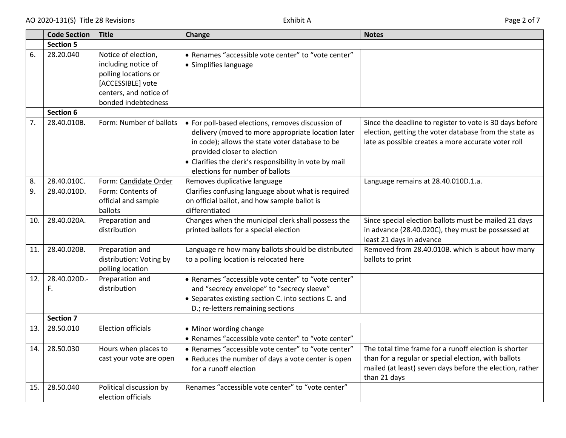|     | <b>Code Section</b> | <b>Title</b>                                                                            | <b>Change</b>                                                                                                                                                                                                                                                                          | <b>Notes</b>                                                                                                                                                                              |  |
|-----|---------------------|-----------------------------------------------------------------------------------------|----------------------------------------------------------------------------------------------------------------------------------------------------------------------------------------------------------------------------------------------------------------------------------------|-------------------------------------------------------------------------------------------------------------------------------------------------------------------------------------------|--|
|     | <b>Section 5</b>    |                                                                                         |                                                                                                                                                                                                                                                                                        |                                                                                                                                                                                           |  |
| 6.  | 28.20.040           | Notice of election,<br>including notice of<br>polling locations or<br>[ACCESSIBLE] vote | • Renames "accessible vote center" to "vote center"<br>• Simplifies language                                                                                                                                                                                                           |                                                                                                                                                                                           |  |
|     |                     | centers, and notice of<br>bonded indebtedness                                           |                                                                                                                                                                                                                                                                                        |                                                                                                                                                                                           |  |
|     | <b>Section 6</b>    |                                                                                         |                                                                                                                                                                                                                                                                                        |                                                                                                                                                                                           |  |
| 7.  | 28.40.010B.         | Form: Number of ballots                                                                 | • For poll-based elections, removes discussion of<br>delivery (moved to more appropriate location later<br>in code); allows the state voter database to be<br>provided closer to election<br>• Clarifies the clerk's responsibility in vote by mail<br>elections for number of ballots | Since the deadline to register to vote is 30 days before<br>election, getting the voter database from the state as<br>late as possible creates a more accurate voter roll                 |  |
| 8.  | 28.40.010C.         | Form: Candidate Order                                                                   | Removes duplicative language                                                                                                                                                                                                                                                           | Language remains at 28.40.010D.1.a.                                                                                                                                                       |  |
| 9.  | 28.40.010D.         | Form: Contents of<br>official and sample<br>ballots                                     | Clarifies confusing language about what is required<br>on official ballot, and how sample ballot is<br>differentiated                                                                                                                                                                  |                                                                                                                                                                                           |  |
| 10. | 28.40.020A.         | Preparation and<br>distribution                                                         | Changes when the municipal clerk shall possess the<br>printed ballots for a special election                                                                                                                                                                                           | Since special election ballots must be mailed 21 days<br>in advance (28.40.020C), they must be possessed at<br>least 21 days in advance                                                   |  |
| 11. | 28.40.020B.         | Preparation and<br>distribution: Voting by<br>polling location                          | Language re how many ballots should be distributed<br>to a polling location is relocated here                                                                                                                                                                                          | Removed from 28.40.010B. which is about how many<br>ballots to print                                                                                                                      |  |
| 12. | 28.40.020D.-<br>F.  | Preparation and<br>distribution                                                         | • Renames "accessible vote center" to "vote center"<br>and "secrecy envelope" to "secrecy sleeve"<br>• Separates existing section C. into sections C. and<br>D.; re-letters remaining sections                                                                                         |                                                                                                                                                                                           |  |
|     | <b>Section 7</b>    |                                                                                         |                                                                                                                                                                                                                                                                                        |                                                                                                                                                                                           |  |
| 13. | 28.50.010           | <b>Election officials</b>                                                               | • Minor wording change<br>• Renames "accessible vote center" to "vote center"                                                                                                                                                                                                          |                                                                                                                                                                                           |  |
| 14. | 28.50.030           | Hours when places to<br>cast your vote are open                                         | • Renames "accessible vote center" to "vote center"<br>• Reduces the number of days a vote center is open<br>for a runoff election                                                                                                                                                     | The total time frame for a runoff election is shorter<br>than for a regular or special election, with ballots<br>mailed (at least) seven days before the election, rather<br>than 21 days |  |
| 15. | 28.50.040           | Political discussion by<br>election officials                                           | Renames "accessible vote center" to "vote center"                                                                                                                                                                                                                                      |                                                                                                                                                                                           |  |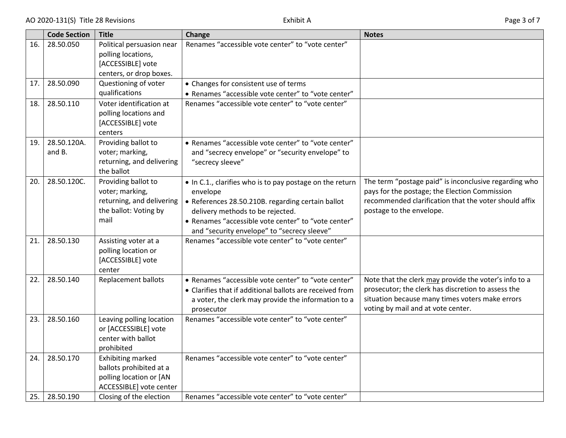|     | <b>Code Section</b>   | <b>Title</b>                                                                                              | Change                                                                                                                                                                                                                                                              | <b>Notes</b>                                                                                                                                                                                         |
|-----|-----------------------|-----------------------------------------------------------------------------------------------------------|---------------------------------------------------------------------------------------------------------------------------------------------------------------------------------------------------------------------------------------------------------------------|------------------------------------------------------------------------------------------------------------------------------------------------------------------------------------------------------|
| 16. | 28.50.050             | Political persuasion near<br>polling locations,<br>[ACCESSIBLE] vote<br>centers, or drop boxes.           | Renames "accessible vote center" to "vote center"                                                                                                                                                                                                                   |                                                                                                                                                                                                      |
| 17. | 28.50.090             | Questioning of voter<br>qualifications                                                                    | • Changes for consistent use of terms<br>• Renames "accessible vote center" to "vote center"                                                                                                                                                                        |                                                                                                                                                                                                      |
| 18. | 28.50.110             | Voter identification at<br>polling locations and<br>[ACCESSIBLE] vote<br>centers                          | Renames "accessible vote center" to "vote center"                                                                                                                                                                                                                   |                                                                                                                                                                                                      |
| 19. | 28.50.120A.<br>and B. | Providing ballot to<br>voter; marking,<br>returning, and delivering<br>the ballot                         | • Renames "accessible vote center" to "vote center"<br>and "secrecy envelope" or "security envelope" to<br>"secrecy sleeve"                                                                                                                                         |                                                                                                                                                                                                      |
| 20. | 28.50.120C.           | Providing ballot to<br>voter; marking,<br>returning, and delivering<br>the ballot: Voting by<br>mail      | . In C.1., clarifies who is to pay postage on the return<br>envelope<br>• References 28.50.210B. regarding certain ballot<br>delivery methods to be rejected.<br>• Renames "accessible vote center" to "vote center"<br>and "security envelope" to "secrecy sleeve" | The term "postage paid" is inconclusive regarding who<br>pays for the postage; the Election Commission<br>recommended clarification that the voter should affix<br>postage to the envelope.          |
| 21. | 28.50.130             | Assisting voter at a<br>polling location or<br>[ACCESSIBLE] vote<br>center                                | Renames "accessible vote center" to "vote center"                                                                                                                                                                                                                   |                                                                                                                                                                                                      |
| 22. | 28.50.140             | Replacement ballots                                                                                       | • Renames "accessible vote center" to "vote center"<br>• Clarifies that if additional ballots are received from<br>a voter, the clerk may provide the information to a<br>prosecutor                                                                                | Note that the clerk may provide the voter's info to a<br>prosecutor; the clerk has discretion to assess the<br>situation because many times voters make errors<br>voting by mail and at vote center. |
| 23. | 28.50.160             | Leaving polling location<br>or [ACCESSIBLE] vote<br>center with ballot<br>prohibited                      | Renames "accessible vote center" to "vote center"                                                                                                                                                                                                                   |                                                                                                                                                                                                      |
| 24. | 28.50.170             | <b>Exhibiting marked</b><br>ballots prohibited at a<br>polling location or [AN<br>ACCESSIBLE] vote center | Renames "accessible vote center" to "vote center"                                                                                                                                                                                                                   |                                                                                                                                                                                                      |
| 25. | 28.50.190             | Closing of the election                                                                                   | Renames "accessible vote center" to "vote center"                                                                                                                                                                                                                   |                                                                                                                                                                                                      |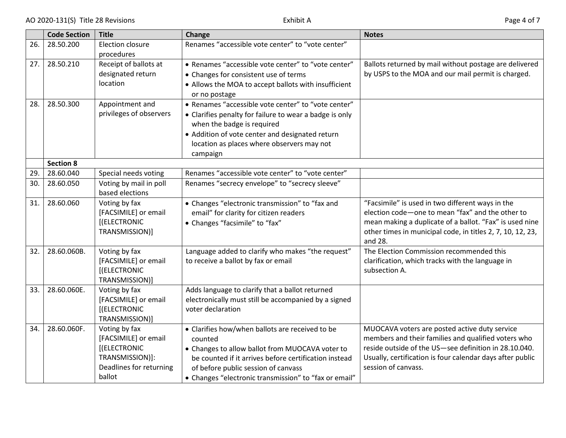| Page 4 of 7 |  |  |
|-------------|--|--|
|-------------|--|--|

|     | <b>Code Section</b> | <b>Title</b>                                                                                                  | Change                                                                                                                                                                                                                                                                 | <b>Notes</b>                                                                                                                                                                                                                                      |
|-----|---------------------|---------------------------------------------------------------------------------------------------------------|------------------------------------------------------------------------------------------------------------------------------------------------------------------------------------------------------------------------------------------------------------------------|---------------------------------------------------------------------------------------------------------------------------------------------------------------------------------------------------------------------------------------------------|
| 26. | 28.50.200           | <b>Election closure</b><br>procedures                                                                         | Renames "accessible vote center" to "vote center"                                                                                                                                                                                                                      |                                                                                                                                                                                                                                                   |
| 27. | 28.50.210           | Receipt of ballots at<br>designated return<br>location                                                        | • Renames "accessible vote center" to "vote center"<br>• Changes for consistent use of terms<br>• Allows the MOA to accept ballots with insufficient<br>or no postage                                                                                                  | Ballots returned by mail without postage are delivered<br>by USPS to the MOA and our mail permit is charged.                                                                                                                                      |
| 28. | 28.50.300           | Appointment and<br>privileges of observers                                                                    | • Renames "accessible vote center" to "vote center"<br>• Clarifies penalty for failure to wear a badge is only<br>when the badge is required<br>• Addition of vote center and designated return<br>location as places where observers may not<br>campaign              |                                                                                                                                                                                                                                                   |
|     | <b>Section 8</b>    |                                                                                                               |                                                                                                                                                                                                                                                                        |                                                                                                                                                                                                                                                   |
| 29. | 28.60.040           | Special needs voting                                                                                          | Renames "accessible vote center" to "vote center"                                                                                                                                                                                                                      |                                                                                                                                                                                                                                                   |
| 30. | 28.60.050           | Voting by mail in poll<br>based elections                                                                     | Renames "secrecy envelope" to "secrecy sleeve"                                                                                                                                                                                                                         |                                                                                                                                                                                                                                                   |
| 31. | 28.60.060           | Voting by fax<br>[FACSIMILE] or email<br>[(ELECTRONIC<br>TRANSMISSION)]                                       | • Changes "electronic transmission" to "fax and<br>email" for clarity for citizen readers<br>• Changes "facsimile" to "fax"                                                                                                                                            | "Facsimile" is used in two different ways in the<br>election code-one to mean "fax" and the other to<br>mean making a duplicate of a ballot. "Fax" is used nine<br>other times in municipal code, in titles 2, 7, 10, 12, 23,<br>and 28.          |
| 32. | 28.60.060B.         | Voting by fax<br>[FACSIMILE] or email<br>[(ELECTRONIC<br>TRANSMISSION)]                                       | Language added to clarify who makes "the request"<br>to receive a ballot by fax or email                                                                                                                                                                               | The Election Commission recommended this<br>clarification, which tracks with the language in<br>subsection A.                                                                                                                                     |
| 33. | 28.60.060E.         | Voting by fax<br>[FACSIMILE] or email<br>[(ELECTRONIC<br>TRANSMISSION)]                                       | Adds language to clarify that a ballot returned<br>electronically must still be accompanied by a signed<br>voter declaration                                                                                                                                           |                                                                                                                                                                                                                                                   |
| 34. | 28.60.060F.         | Voting by fax<br>[FACSIMILE] or email<br>[(ELECTRONIC<br>TRANSMISSION)]:<br>Deadlines for returning<br>ballot | • Clarifies how/when ballots are received to be<br>counted<br>• Changes to allow ballot from MUOCAVA voter to<br>be counted if it arrives before certification instead<br>of before public session of canvass<br>• Changes "electronic transmission" to "fax or email" | MUOCAVA voters are posted active duty service<br>members and their families and qualified voters who<br>reside outside of the US-see definition in 28.10.040.<br>Usually, certification is four calendar days after public<br>session of canvass. |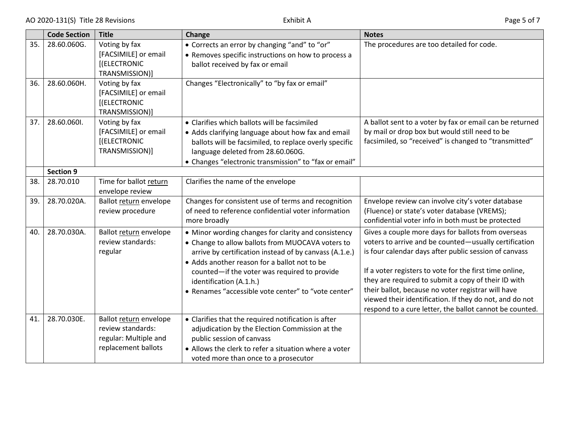|     | <b>Code Section</b> | <b>Title</b>                                                                                | Change                                                                                                                                                                                                                                                                                                                                              | <b>Notes</b>                                                                                                                                                                                                                                                                                                                                                                                                                                                       |
|-----|---------------------|---------------------------------------------------------------------------------------------|-----------------------------------------------------------------------------------------------------------------------------------------------------------------------------------------------------------------------------------------------------------------------------------------------------------------------------------------------------|--------------------------------------------------------------------------------------------------------------------------------------------------------------------------------------------------------------------------------------------------------------------------------------------------------------------------------------------------------------------------------------------------------------------------------------------------------------------|
| 35. | 28.60.060G.         | Voting by fax<br>[FACSIMILE] or email<br>[(ELECTRONIC<br>TRANSMISSION)]                     | • Corrects an error by changing "and" to "or"<br>• Removes specific instructions on how to process a<br>ballot received by fax or email                                                                                                                                                                                                             | The procedures are too detailed for code.                                                                                                                                                                                                                                                                                                                                                                                                                          |
| 36. | 28.60.060H.         | Voting by fax<br>[FACSIMILE] or email<br>[(ELECTRONIC<br>TRANSMISSION)]                     | Changes "Electronically" to "by fax or email"                                                                                                                                                                                                                                                                                                       |                                                                                                                                                                                                                                                                                                                                                                                                                                                                    |
| 37. | 28.60.060I.         | Voting by fax<br>[FACSIMILE] or email<br>[(ELECTRONIC<br>TRANSMISSION)]                     | • Clarifies which ballots will be facsimiled<br>• Adds clarifying language about how fax and email<br>ballots will be facsimiled, to replace overly specific<br>language deleted from 28.60.060G.<br>• Changes "electronic transmission" to "fax or email"                                                                                          | A ballot sent to a voter by fax or email can be returned<br>by mail or drop box but would still need to be<br>facsimiled, so "received" is changed to "transmitted"                                                                                                                                                                                                                                                                                                |
|     | <b>Section 9</b>    |                                                                                             |                                                                                                                                                                                                                                                                                                                                                     |                                                                                                                                                                                                                                                                                                                                                                                                                                                                    |
| 38. | 28.70.010           | Time for ballot return<br>envelope review                                                   | Clarifies the name of the envelope                                                                                                                                                                                                                                                                                                                  |                                                                                                                                                                                                                                                                                                                                                                                                                                                                    |
| 39. | 28.70.020A.         | Ballot return envelope<br>review procedure                                                  | Changes for consistent use of terms and recognition<br>of need to reference confidential voter information<br>more broadly                                                                                                                                                                                                                          | Envelope review can involve city's voter database<br>(Fluence) or state's voter database (VREMS);<br>confidential voter info in both must be protected                                                                                                                                                                                                                                                                                                             |
| 40. | 28.70.030A.         | Ballot return envelope<br>review standards:<br>regular                                      | • Minor wording changes for clarity and consistency<br>• Change to allow ballots from MUOCAVA voters to<br>arrive by certification instead of by canvass (A.1.e.)<br>• Adds another reason for a ballot not to be<br>counted-if the voter was required to provide<br>identification (A.1.h.)<br>• Renames "accessible vote center" to "vote center" | Gives a couple more days for ballots from overseas<br>voters to arrive and be counted-usually certification<br>is four calendar days after public session of canvass<br>If a voter registers to vote for the first time online,<br>they are required to submit a copy of their ID with<br>their ballot, because no voter registrar will have<br>viewed their identification. If they do not, and do not<br>respond to a cure letter, the ballot cannot be counted. |
| 41. | 28.70.030E.         | Ballot return envelope<br>review standards:<br>regular: Multiple and<br>replacement ballots | • Clarifies that the required notification is after<br>adjudication by the Election Commission at the<br>public session of canvass<br>• Allows the clerk to refer a situation where a voter<br>voted more than once to a prosecutor                                                                                                                 |                                                                                                                                                                                                                                                                                                                                                                                                                                                                    |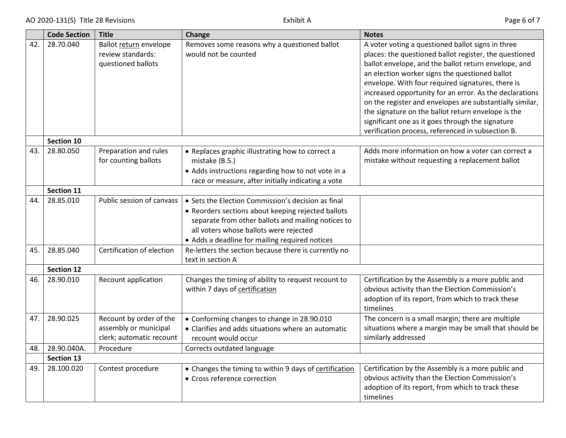|     | <b>Code Section</b> | <b>Title</b>                                                                 | Change                                                                                                                                                                                                                                                     | <b>Notes</b>                                                                                                                                                                                                                                                                                                                                                                                                                                                                                                                                                     |
|-----|---------------------|------------------------------------------------------------------------------|------------------------------------------------------------------------------------------------------------------------------------------------------------------------------------------------------------------------------------------------------------|------------------------------------------------------------------------------------------------------------------------------------------------------------------------------------------------------------------------------------------------------------------------------------------------------------------------------------------------------------------------------------------------------------------------------------------------------------------------------------------------------------------------------------------------------------------|
| 42. | 28.70.040           | Ballot return envelope<br>review standards:<br>questioned ballots            | Removes some reasons why a questioned ballot<br>would not be counted                                                                                                                                                                                       | A voter voting a questioned ballot signs in three<br>places: the questioned ballot register, the questioned<br>ballot envelope, and the ballot return envelope, and<br>an election worker signs the questioned ballot<br>envelope. With four required signatures, there is<br>increased opportunity for an error. As the declarations<br>on the register and envelopes are substantially similar,<br>the signature on the ballot return envelope is the<br>significant one as it goes through the signature<br>verification process, referenced in subsection B. |
|     | <b>Section 10</b>   |                                                                              |                                                                                                                                                                                                                                                            |                                                                                                                                                                                                                                                                                                                                                                                                                                                                                                                                                                  |
| 43. | 28.80.050           | Preparation and rules<br>for counting ballots                                | • Replaces graphic illustrating how to correct a<br>mistake (B.5.)<br>• Adds instructions regarding how to not vote in a<br>race or measure, after initially indicating a vote                                                                             | Adds more information on how a voter can correct a<br>mistake without requesting a replacement ballot                                                                                                                                                                                                                                                                                                                                                                                                                                                            |
|     | Section 11          |                                                                              |                                                                                                                                                                                                                                                            |                                                                                                                                                                                                                                                                                                                                                                                                                                                                                                                                                                  |
| 44. | 28.85.010           | Public session of canvass                                                    | • Sets the Election Commission's decision as final<br>• Reorders sections about keeping rejected ballots<br>separate from other ballots and mailing notices to<br>all voters whose ballots were rejected<br>• Adds a deadline for mailing required notices |                                                                                                                                                                                                                                                                                                                                                                                                                                                                                                                                                                  |
| 45. | 28.85.040           | Certification of election                                                    | Re-letters the section because there is currently no<br>text in section A                                                                                                                                                                                  |                                                                                                                                                                                                                                                                                                                                                                                                                                                                                                                                                                  |
|     | <b>Section 12</b>   |                                                                              |                                                                                                                                                                                                                                                            |                                                                                                                                                                                                                                                                                                                                                                                                                                                                                                                                                                  |
| 46. | 28.90.010           | Recount application                                                          | Changes the timing of ability to request recount to<br>within 7 days of certification                                                                                                                                                                      | Certification by the Assembly is a more public and<br>obvious activity than the Election Commission's<br>adoption of its report, from which to track these<br>timelines                                                                                                                                                                                                                                                                                                                                                                                          |
| 47. | 28.90.025           | Recount by order of the<br>assembly or municipal<br>clerk; automatic recount | • Conforming changes to change in 28.90.010<br>• Clarifies and adds situations where an automatic<br>recount would occur                                                                                                                                   | The concern is a small margin; there are multiple<br>situations where a margin may be small that should be<br>similarly addressed                                                                                                                                                                                                                                                                                                                                                                                                                                |
| 48. | 28.90.040A.         | Procedure                                                                    | Corrects outdated language                                                                                                                                                                                                                                 |                                                                                                                                                                                                                                                                                                                                                                                                                                                                                                                                                                  |
|     | <b>Section 13</b>   |                                                                              |                                                                                                                                                                                                                                                            |                                                                                                                                                                                                                                                                                                                                                                                                                                                                                                                                                                  |
| 49. | 28.100.020          | Contest procedure                                                            | • Changes the timing to within 9 days of certification<br>• Cross reference correction                                                                                                                                                                     | Certification by the Assembly is a more public and<br>obvious activity than the Election Commission's<br>adoption of its report, from which to track these<br>timelines                                                                                                                                                                                                                                                                                                                                                                                          |